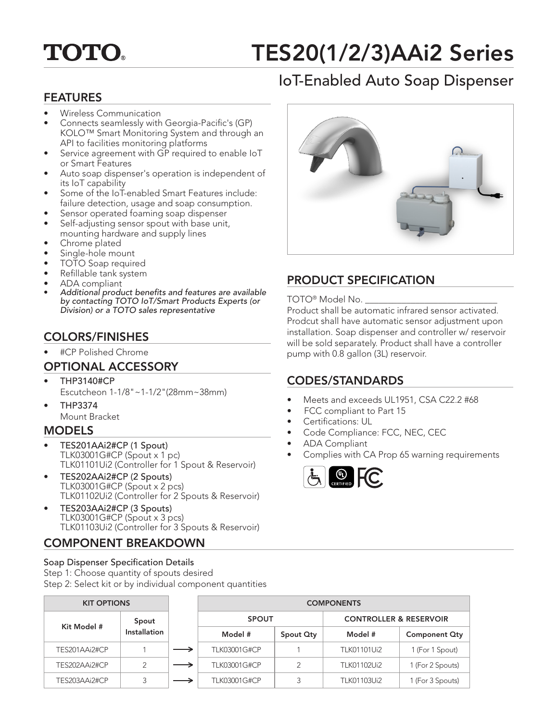# **TOTO.**

# TES20(1/2/3)AAi2 Series

# IoT-Enabled Auto Soap Dispenser

## FEATURES

- Wireless Communication
- Connects seamlessly with Georgia-Pacific's (GP) KOLO™ Smart Monitoring System and through an API to facilities monitoring platforms
- Service agreement with GP required to enable IoT or Smart Features
- Auto soap dispenser's operation is independent of its IoT capability
- Some of the IoT-enabled Smart Features include: failure detection, usage and soap consumption.
- Sensor operated foaming soap dispenser
- Self-adjusting sensor spout with base unit, mounting hardware and supply lines
- Chrome plated
- Single-hole mount
- TOTO Soap required
- Refillable tank system
- ADA compliant
- Additional product benefits and features are available by contacting TOTO IoT/Smart Products Experts (or Division) or a TOTO sales representative

# COLORS/FINISHES

• #CP Polished Chrome

# OPTIONAL ACCESSORY

- THP3140#CP Escutcheon 1-1/8"~1-1/2"(28mm~38mm)
- THP3374 Mount Bracket

#### **MODELS**

- TES201AAi2#CP (1 Spout) TLK03001G#CP (Spout x 1 pc) TLK01101Ui2 (Controller for 1 Spout & Reservoir)
- TES202AAi2#CP (2 Spouts) TLK03001G#CP (Spout x 2 pcs) TLK01102Ui2 (Controller for 2 Spouts & Reservoir)
- TES203AAi2#CP (3 Spouts) TLK03001G#CP (Spout x 3 pcs) TLK01103Ui2 (Controller for 3 Spouts & Reservoir)

# COMPONENT BREAKDOWN

Soap Dispenser Specification Details Step 1: Choose quantity of spouts desired Step 2: Select kit or by individual component quantities



# PRODUCT SPECIFICATION

#### TOTO<sup>®</sup> Model No. \_

Product shall be automatic infrared sensor activated. Prodcut shall have automatic sensor adjustment upon installation. Soap dispenser and controller w/ reservoir will be sold separately. Product shall have a controller pump with 0.8 gallon (3L) reservoir.

### CODES/STANDARDS

- Meets and exceeds UL1951, CSA C22.2 #68
- FCC compliant to Part 15
- Certifications: UL
- Code Compliance: FCC, NEC, CEC
- ADA Compliant
- Complies with CA Prop 65 warning requirements



| <b>KIT OPTIONS</b> |              |                     |           | <b>COMPONENTS</b>                 |                      |
|--------------------|--------------|---------------------|-----------|-----------------------------------|----------------------|
| Kit Model #        | Spout        | <b>SPOUT</b>        |           | <b>CONTROLLER &amp; RESERVOIR</b> |                      |
|                    | Installation | Model #             | Spout Qty | Model #                           | <b>Component Qty</b> |
| TES201AAi2#CP      |              | TLK03001G#CP        |           | TLK01101Ui2                       | 1 (For 1 Spout)      |
| TES202AAi2#CP      | 2            | <b>TLK03001G#CP</b> |           | TLK01102Ui2                       | 1 (For 2 Spouts)     |
| TES203AAi2#CP      |              | <b>TLK03001G#CP</b> |           | TLK01103Ui2                       | 1 (For 3 Spouts)     |